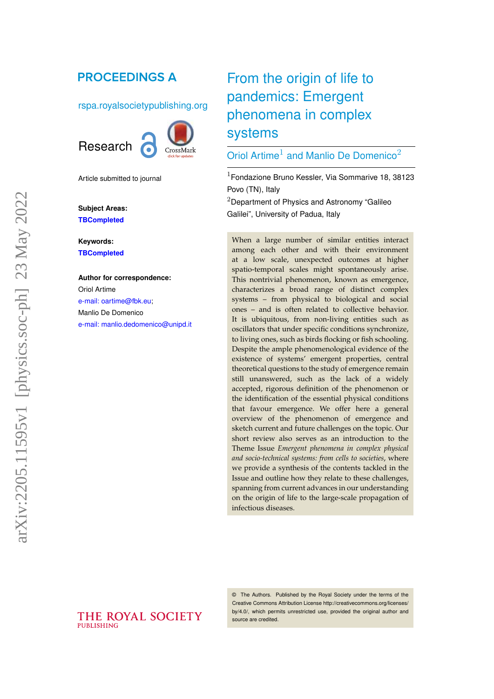# **PROCEEDINGS A**

#### rspa.royalsocietypublishing.org



Article submitted to journal

**Subject Areas: TBCompleted**

**Keywords: TBCompleted**

#### **Author for correspondence:** Oriol Artime [e-mail: oartime@fbk.eu;](mailto:oartime@fbk.eu)

Manlio De Domenico [e-mail: manlio.dedomenico@unipd.it](mailto:manlio.dedomenico@unipd.it)

THE ROYAL SOCIETY

**PUBLISHING** 

# From the origin of life to pandemics: Emergent phenomena in complex systems

# Oriol Artime<sup>1</sup> and Manlio De Domenico<sup>2</sup>

 $1$ Fondazione Bruno Kessler, Via Sommarive 18, 38123 Povo (TN), Italy

 $2$ Department of Physics and Astronomy "Galileo Galilei", University of Padua, Italy

When a large number of similar entities interact among each other and with their environment at a low scale, unexpected outcomes at higher spatio-temporal scales might spontaneously arise. This nontrivial phenomenon, known as emergence, characterizes a broad range of distinct complex systems – from physical to biological and social ones – and is often related to collective behavior. It is ubiquitous, from non-living entities such as oscillators that under specific conditions synchronize, to living ones, such as birds flocking or fish schooling. Despite the ample phenomenological evidence of the existence of systems' emergent properties, central theoretical questions to the study of emergence remain still unanswered, such as the lack of a widely accepted, rigorous definition of the phenomenon or the identification of the essential physical conditions that favour emergence. We offer here a general overview of the phenomenon of emergence and sketch current and future challenges on the topic. Our short review also serves as an introduction to the Theme Issue *Emergent phenomena in complex physical and socio-technical systems: from cells to societies*, where we provide a synthesis of the contents tackled in the Issue and outline how they relate to these challenges, spanning from current advances in our understanding on the origin of life to the large-scale propagation of infectious diseases.

© The Authors. Published by the Royal Society under the terms of the Creative Commons Attribution License http://creativecommons.org/licenses/ by/4.0/, which permits unrestricted use, provided the original author and source are credited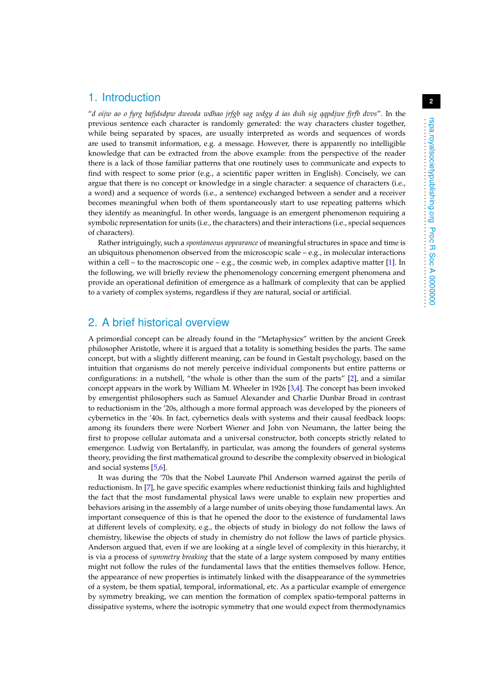#### 1. Introduction

"*d oijw ao o fyrg bafjdsdpw dweoda wdhao jrfgb sag wdgy d ias dsih sig qqpdjwe fjrfb dvvs*". In the previous sentence each character is randomly generated: the way characters cluster together, while being separated by spaces, are usually interpreted as words and sequences of words are used to transmit information, e.g. a message. However, there is apparently no intelligible knowledge that can be extracted from the above example: from the perspective of the reader there is a lack of those familiar patterns that one routinely uses to communicate and expects to find with respect to some prior (e.g., a scientific paper written in English). Concisely, we can argue that there is no concept or knowledge in a single character: a sequence of characters (i.e., a word) and a sequence of words (i.e., a sentence) exchanged between a sender and a receiver becomes meaningful when both of them spontaneously start to use repeating patterns which they identify as meaningful. In other words, language is an emergent phenomenon requiring a symbolic representation for units (i.e., the characters) and their interactions (i.e., special sequences of characters).

Rather intriguingly, such a *spontaneous appearance* of meaningful structures in space and time is an ubiquitous phenomenon observed from the microscopic scale  $-e.g.,$  in molecular interactions within a cell – to the macroscopic one – e.g., the cosmic web, in complex adaptive matter [\[1\]](#page-13-0). In the following, we will briefly review the phenomenology concerning emergent phenomena and provide an operational definition of emergence as a hallmark of complexity that can be applied to a variety of complex systems, regardless if they are natural, social or artificial.

## 2. A brief historical overview

A primordial concept can be already found in the "Metaphysics" written by the ancient Greek philosopher Aristotle, where it is argued that a totality is something besides the parts. The same concept, but with a slightly different meaning, can be found in Gestalt psychology, based on the intuition that organisms do not merely perceive individual components but entire patterns or configurations: in a nutshell, "the whole is other than the sum of the parts" [\[2\]](#page-13-1), and a similar concept appears in the work by William M. Wheeler in 1926 [\[3](#page-13-2)[,4\]](#page-13-3). The concept has been invoked by emergentist philosophers such as Samuel Alexander and Charlie Dunbar Broad in contrast to reductionism in the '20s, although a more formal approach was developed by the pioneers of cybernetics in the '40s. In fact, cybernetics deals with systems and their causal feedback loops: among its founders there were Norbert Wiener and John von Neumann, the latter being the first to propose cellular automata and a universal constructor, both concepts strictly related to emergence. Ludwig von Bertalanffy, in particular, was among the founders of general systems theory, providing the first mathematical ground to describe the complexity observed in biological and social systems [\[5,](#page-13-4)[6\]](#page-13-5).

It was during the '70s that the Nobel Laureate Phil Anderson warned against the perils of reductionism. In [\[7\]](#page-13-6), he gave specific examples where reductionist thinking fails and highlighted the fact that the most fundamental physical laws were unable to explain new properties and behaviors arising in the assembly of a large number of units obeying those fundamental laws. An important consequence of this is that he opened the door to the existence of fundamental laws at different levels of complexity, e.g., the objects of study in biology do not follow the laws of chemistry, likewise the objects of study in chemistry do not follow the laws of particle physics. Anderson argued that, even if we are looking at a single level of complexity in this hierarchy, it is via a process of *symmetry breaking* that the state of a large system composed by many entities might not follow the rules of the fundamental laws that the entities themselves follow. Hence, the appearance of new properties is intimately linked with the disappearance of the symmetries of a system, be them spatial, temporal, informational, etc. As a particular example of emergence by symmetry breaking, we can mention the formation of complex spatio-temporal patterns in dissipative systems, where the isotropic symmetry that one would expect from thermodynamics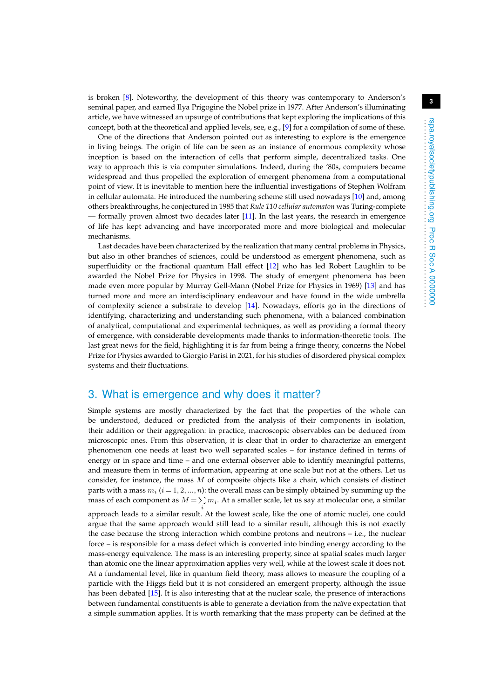is broken [\[8\]](#page-13-7). Noteworthy, the development of this theory was contemporary to Anderson's seminal paper, and earned Ilya Prigogine the Nobel prize in 1977. After Anderson's illuminating article, we have witnessed an upsurge of contributions that kept exploring the implications of this concept, both at the theoretical and applied levels, see, e.g., [\[9\]](#page-13-8) for a compilation of some of these.

One of the directions that Anderson pointed out as interesting to explore is the emergence in living beings. The origin of life can be seen as an instance of enormous complexity whose inception is based on the interaction of cells that perform simple, decentralized tasks. One way to approach this is via computer simulations. Indeed, during the '80s, computers became widespread and thus propelled the exploration of emergent phenomena from a computational point of view. It is inevitable to mention here the influential investigations of Stephen Wolfram in cellular automata. He introduced the numbering scheme still used nowadays [\[10\]](#page-13-9) and, among others breakthroughs, he conjectured in 1985 that *Rule 110 cellular automaton* was Turing-complete — formally proven almost two decades later [\[11\]](#page-13-10). In the last years, the research in emergence of life has kept advancing and have incorporated more and more biological and molecular mechanisms.

Last decades have been characterized by the realization that many central problems in Physics, but also in other branches of sciences, could be understood as emergent phenomena, such as superfluidity or the fractional quantum Hall effect [\[12\]](#page-13-11) who has led Robert Laughlin to be awarded the Nobel Prize for Physics in 1998. The study of emergent phenomena has been made even more popular by Murray Gell-Mann (Nobel Prize for Physics in 1969) [\[13\]](#page-13-12) and has turned more and more an interdisciplinary endeavour and have found in the wide umbrella of complexity science a substrate to develop [\[14\]](#page-13-13). Nowadays, efforts go in the directions of identifying, characterizing and understanding such phenomena, with a balanced combination of analytical, computational and experimental techniques, as well as providing a formal theory of emergence, with considerable developments made thanks to information-theoretic tools. The last great news for the field, highlighting it is far from being a fringe theory, concerns the Nobel Prize for Physics awarded to Giorgio Parisi in 2021, for his studies of disordered physical complex systems and their fluctuations.

#### 3. What is emergence and why does it matter?

Simple systems are mostly characterized by the fact that the properties of the whole can be understood, deduced or predicted from the analysis of their components in isolation, their addition or their aggregation: in practice, macroscopic observables can be deduced from microscopic ones. From this observation, it is clear that in order to characterize an emergent phenomenon one needs at least two well separated scales – for instance defined in terms of energy or in space and time – and one external observer able to identify meaningful patterns, and measure them in terms of information, appearing at one scale but not at the others. Let us consider, for instance, the mass  $M$  of composite objects like a chair, which consists of distinct parts with a mass  $m_i$   $(i = 1, 2, ..., n)$ : the overall mass can be simply obtained by summing up the mass of each component as  $M = \sum m_i$ . At a smaller scale, let us say at molecular one, a similar approach leads to a similar result. At the lowest scale, like the one of atomic nuclei, one could

argue that the same approach would still lead to a similar result, although this is not exactly the case because the strong interaction which combine protons and neutrons – i.e., the nuclear force – is responsible for a mass defect which is converted into binding energy according to the mass-energy equivalence. The mass is an interesting property, since at spatial scales much larger than atomic one the linear approximation applies very well, while at the lowest scale it does not. At a fundamental level, like in quantum field theory, mass allows to measure the coupling of a particle with the Higgs field but it is not considered an emergent property, although the issue has been debated [\[15\]](#page-13-14). It is also interesting that at the nuclear scale, the presence of interactions between fundamental constituents is able to generate a deviation from the naïve expectation that a simple summation applies. It is worth remarking that the mass property can be defined at the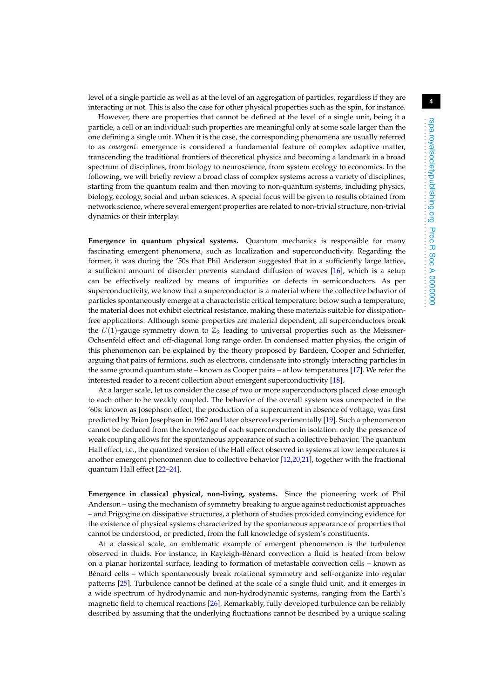level of a single particle as well as at the level of an aggregation of particles, regardless if they are interacting or not. This is also the case for other physical properties such as the spin, for instance.

However, there are properties that cannot be defined at the level of a single unit, being it a particle, a cell or an individual: such properties are meaningful only at some scale larger than the one defining a single unit. When it is the case, the corresponding phenomena are usually referred to as *emergent*: emergence is considered a fundamental feature of complex adaptive matter, transcending the traditional frontiers of theoretical physics and becoming a landmark in a broad spectrum of disciplines, from biology to neuroscience, from system ecology to economics. In the following, we will briefly review a broad class of complex systems across a variety of disciplines, starting from the quantum realm and then moving to non-quantum systems, including physics, biology, ecology, social and urban sciences. A special focus will be given to results obtained from network science, where several emergent properties are related to non-trivial structure, non-trivial dynamics or their interplay.

**Emergence in quantum physical systems.** Quantum mechanics is responsible for many fascinating emergent phenomena, such as localization and superconductivity. Regarding the former, it was during the '50s that Phil Anderson suggested that in a sufficiently large lattice, a sufficient amount of disorder prevents standard diffusion of waves [\[16\]](#page-13-15), which is a setup can be effectively realized by means of impurities or defects in semiconductors. As per superconductivity, we know that a superconductor is a material where the collective behavior of particles spontaneously emerge at a characteristic critical temperature: below such a temperature, the material does not exhibit electrical resistance, making these materials suitable for dissipationfree applications. Although some properties are material dependent, all superconductors break the  $U(1)$ -gauge symmetry down to  $\mathbb{Z}_2$  leading to universal properties such as the Meissner-Ochsenfeld effect and off-diagonal long range order. In condensed matter physics, the origin of this phenomenon can be explained by the theory proposed by Bardeen, Cooper and Schrieffer, arguing that pairs of fermions, such as electrons, condensate into strongly interacting particles in the same ground quantum state – known as Cooper pairs – at low temperatures [\[17\]](#page-13-16). We refer the interested reader to a recent collection about emergent superconductivity [\[18\]](#page-13-17).

At a larger scale, let us consider the case of two or more superconductors placed close enough to each other to be weakly coupled. The behavior of the overall system was unexpected in the '60s: known as Josephson effect, the production of a supercurrent in absence of voltage, was first predicted by Brian Josephson in 1962 and later observed experimentally [\[19\]](#page-13-18). Such a phenomenon cannot be deduced from the knowledge of each superconductor in isolation: only the presence of weak coupling allows for the spontaneous appearance of such a collective behavior. The quantum Hall effect, i.e., the quantized version of the Hall effect observed in systems at low temperatures is another emergent phenomenon due to collective behavior [\[12](#page-13-11)[,20,](#page-13-19)[21\]](#page-13-20), together with the fractional quantum Hall effect [\[22](#page-13-21)[–24\]](#page-13-22).

**Emergence in classical physical, non-living, systems.** Since the pioneering work of Phil Anderson – using the mechanism of symmetry breaking to argue against reductionist approaches – and Prigogine on dissipative structures, a plethora of studies provided convincing evidence for the existence of physical systems characterized by the spontaneous appearance of properties that cannot be understood, or predicted, from the full knowledge of system's constituents.

At a classical scale, an emblematic example of emergent phenomenon is the turbulence observed in fluids. For instance, in Rayleigh-Bénard convection a fluid is heated from below on a planar horizontal surface, leading to formation of metastable convection cells – known as Bénard cells – which spontaneously break rotational symmetry and self-organize into regular patterns [\[25\]](#page-13-23). Turbulence cannot be defined at the scale of a single fluid unit, and it emerges in a wide spectrum of hydrodynamic and non-hydrodynamic systems, ranging from the Earth's magnetic field to chemical reactions [\[26\]](#page-14-0). Remarkably, fully developed turbulence can be reliably described by assuming that the underlying fluctuations cannot be described by a unique scaling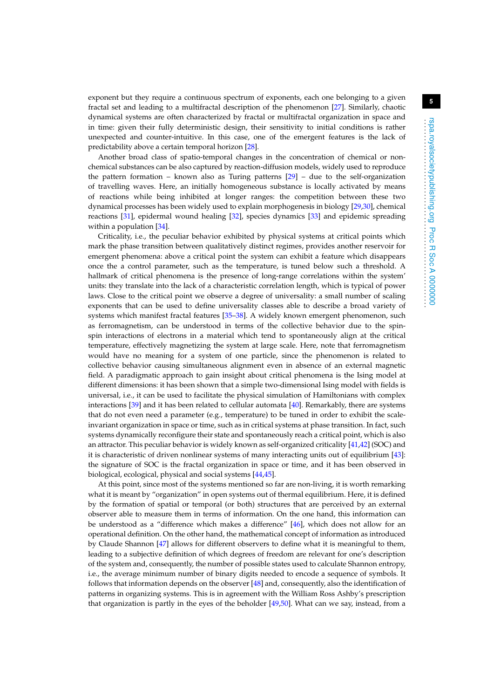exponent but they require a continuous spectrum of exponents, each one belonging to a given fractal set and leading to a multifractal description of the phenomenon [\[27\]](#page-14-1). Similarly, chaotic dynamical systems are often characterized by fractal or multifractal organization in space and in time: given their fully deterministic design, their sensitivity to initial conditions is rather unexpected and counter-intuitive. In this case, one of the emergent features is the lack of predictability above a certain temporal horizon [\[28\]](#page-14-2).

Another broad class of spatio-temporal changes in the concentration of chemical or nonchemical substances can be also captured by reaction-diffusion models, widely used to reproduce the pattern formation – known also as Turing patterns [\[29\]](#page-14-3) – due to the self-organization of travelling waves. Here, an initially homogeneous substance is locally activated by means of reactions while being inhibited at longer ranges: the competition between these two dynamical processes has been widely used to explain morphogenesis in biology [\[29,](#page-14-3)[30\]](#page-14-4), chemical reactions [\[31\]](#page-14-5), epidermal wound healing [\[32\]](#page-14-6), species dynamics [\[33\]](#page-14-7) and epidemic spreading within a population [\[34\]](#page-14-8).

Criticality, i.e., the peculiar behavior exhibited by physical systems at critical points which mark the phase transition between qualitatively distinct regimes, provides another reservoir for emergent phenomena: above a critical point the system can exhibit a feature which disappears once the a control parameter, such as the temperature, is tuned below such a threshold. A hallmark of critical phenomena is the presence of long-range correlations within the system' units: they translate into the lack of a characteristic correlation length, which is typical of power laws. Close to the critical point we observe a degree of universality: a small number of scaling exponents that can be used to define universality classes able to describe a broad variety of systems which manifest fractal features [\[35](#page-14-9)[–38\]](#page-14-10). A widely known emergent phenomenon, such as ferromagnetism, can be understood in terms of the collective behavior due to the spinspin interactions of electrons in a material which tend to spontaneously align at the critical temperature, effectively magnetizing the system at large scale. Here, note that ferromagnetism would have no meaning for a system of one particle, since the phenomenon is related to collective behavior causing simultaneous alignment even in absence of an external magnetic field. A paradigmatic approach to gain insight about critical phenomena is the Ising model at different dimensions: it has been shown that a simple two-dimensional Ising model with fields is universal, i.e., it can be used to facilitate the physical simulation of Hamiltonians with complex interactions [\[39\]](#page-14-11) and it has been related to cellular automata [\[40\]](#page-14-12). Remarkably, there are systems that do not even need a parameter (e.g., temperature) to be tuned in order to exhibit the scaleinvariant organization in space or time, such as in critical systems at phase transition. In fact, such systems dynamically reconfigure their state and spontaneously reach a critical point, which is also an attractor. This peculiar behavior is widely known as self-organized criticality [\[41,](#page-14-13)[42\]](#page-14-14) (SOC) and it is characteristic of driven nonlinear systems of many interacting units out of equilibrium [\[43\]](#page-14-15): the signature of SOC is the fractal organization in space or time, and it has been observed in biological, ecological, physical and social systems [\[44,](#page-14-16)[45\]](#page-14-17).

At this point, since most of the systems mentioned so far are non-living, it is worth remarking what it is meant by "organization" in open systems out of thermal equilibrium. Here, it is defined by the formation of spatial or temporal (or both) structures that are perceived by an external observer able to measure them in terms of information. On the one hand, this information can be understood as a "difference which makes a difference" [\[46\]](#page-14-18), which does not allow for an operational definition. On the other hand, the mathematical concept of information as introduced by Claude Shannon [\[47\]](#page-14-19) allows for different observers to define what it is meaningful to them, leading to a subjective definition of which degrees of freedom are relevant for one's description of the system and, consequently, the number of possible states used to calculate Shannon entropy, i.e., the average minimum number of binary digits needed to encode a sequence of symbols. It follows that information depends on the observer [\[48\]](#page-14-20) and, consequently, also the identification of patterns in organizing systems. This is in agreement with the William Ross Ashby's prescription that organization is partly in the eyes of the beholder [\[49](#page-14-21)[,50\]](#page-14-22). What can we say, instead, from a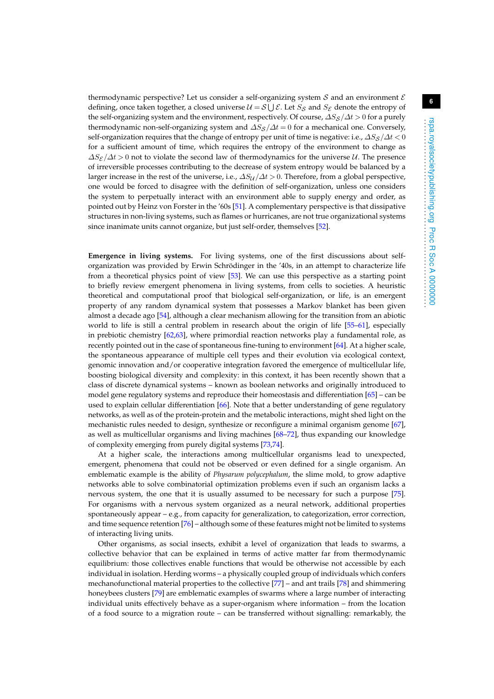thermodynamic perspective? Let us consider a self-organizing system S and an environment  $\mathcal E$ defining, once taken together, a closed universe  $\mathcal{U} = \mathcal{S} \cup \mathcal{E}$ . Let  $S_{\mathcal{S}}$  and  $S_{\mathcal{E}}$  denote the entropy of the self-organizing system and the environment, respectively. Of course,  $\Delta S_S/\Delta t > 0$  for a purely thermodynamic non-self-organizing system and  $\Delta S_S/\Delta t = 0$  for a mechanical one. Conversely, self-organization requires that the change of entropy per unit of time is negative: i.e.,  $\Delta S_S/\Delta t < 0$ for a sufficient amount of time, which requires the entropy of the environment to change as  $\Delta S_{\mathcal{E}}/\Delta t$  > 0 not to violate the second law of thermodynamics for the universe U. The presence of irreversible processes contributing to the decrease of system entropy would be balanced by a larger increase in the rest of the universe, i.e.,  $\Delta S_U / \Delta t > 0$ . Therefore, from a global perspective, one would be forced to disagree with the definition of self-organization, unless one considers the system to perpetually interact with an environment able to supply energy and order, as pointed out by Heinz von Forster in the '60s [\[51\]](#page-14-23). A complementary perspective is that dissipative structures in non-living systems, such as flames or hurricanes, are not true organizational systems since inanimate units cannot organize, but just self-order, themselves [\[52\]](#page-14-24).

**Emergence in living systems.** For living systems, one of the first discussions about selforganization was provided by Erwin Schrödinger in the '40s, in an attempt to characterize life from a theoretical physics point of view [\[53\]](#page-14-25). We can use this perspective as a starting point to briefly review emergent phenomena in living systems, from cells to societies. A heuristic theoretical and computational proof that biological self-organization, or life, is an emergent property of any random dynamical system that possesses a Markov blanket has been given almost a decade ago [\[54\]](#page-14-26), although a clear mechanism allowing for the transition from an abiotic world to life is still a central problem in research about the origin of life [\[55](#page-14-27)[–61\]](#page-15-0), especially in prebiotic chemistry  $[62,63]$  $[62,63]$ , where primordial reaction networks play a fundamental role, as recently pointed out in the case of spontaneous fine-tuning to environment [\[64\]](#page-15-3). At a higher scale, the spontaneous appearance of multiple cell types and their evolution via ecological context, genomic innovation and/or cooperative integration favored the emergence of multicellular life, boosting biological diversity and complexity: in this context, it has been recently shown that a class of discrete dynamical systems – known as boolean networks and originally introduced to model gene regulatory systems and reproduce their homeostasis and differentiation [\[65\]](#page-15-4) – can be used to explain cellular differentiation [\[66\]](#page-15-5). Note that a better understanding of gene regulatory networks, as well as of the protein-protein and the metabolic interactions, might shed light on the mechanistic rules needed to design, synthesize or reconfigure a minimal organism genome [\[67\]](#page-15-6), as well as multicellular organisms and living machines [\[68–](#page-15-7)[72\]](#page-15-8), thus expanding our knowledge of complexity emerging from purely digital systems [\[73](#page-15-9)[,74\]](#page-15-10).

At a higher scale, the interactions among multicellular organisms lead to unexpected, emergent, phenomena that could not be observed or even defined for a single organism. An emblematic example is the ability of *Physarum polycephalum*, the slime mold, to grow adaptive networks able to solve combinatorial optimization problems even if such an organism lacks a nervous system, the one that it is usually assumed to be necessary for such a purpose [\[75\]](#page-15-11). For organisms with a nervous system organized as a neural network, additional properties spontaneously appear – e.g., from capacity for generalization, to categorization, error correction, and time sequence retention [\[76\]](#page-15-12) – although some of these features might not be limited to systems of interacting living units.

Other organisms, as social insects, exhibit a level of organization that leads to swarms, a collective behavior that can be explained in terms of active matter far from thermodynamic equilibrium: those collectives enable functions that would be otherwise not accessible by each individual in isolation. Herding worms – a physically coupled group of individuals which confers mechanofunctional material properties to the collective [\[77\]](#page-15-13) – and ant trails [\[78\]](#page-15-14) and shimmering honeybees clusters [\[79\]](#page-15-15) are emblematic examples of swarms where a large number of interacting individual units effectively behave as a super-organism where information – from the location of a food source to a migration route – can be transferred without signalling: remarkably, the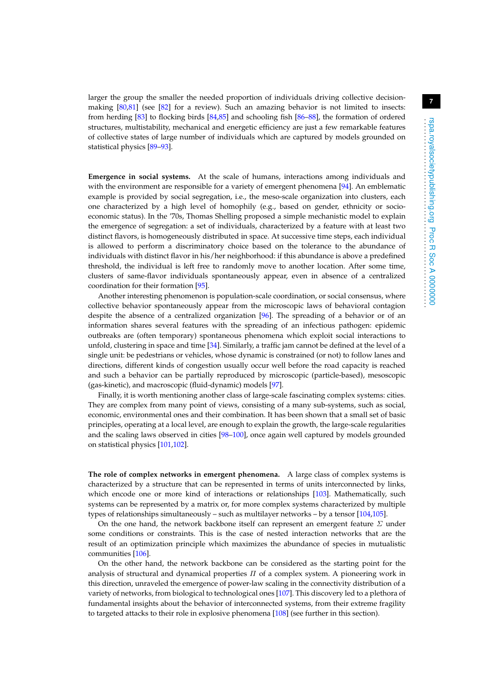larger the group the smaller the needed proportion of individuals driving collective decisionmaking [\[80,](#page-15-16)[81\]](#page-15-17) (see [\[82\]](#page-15-18) for a review). Such an amazing behavior is not limited to insects: from herding [\[83\]](#page-15-19) to flocking birds [\[84,](#page-15-20)[85\]](#page-15-21) and schooling fish [\[86](#page-16-0)[–88\]](#page-16-1), the formation of ordered structures, multistability, mechanical and energetic efficiency are just a few remarkable features of collective states of large number of individuals which are captured by models grounded on statistical physics [\[89–](#page-16-2)[93\]](#page-16-3).

**Emergence in social systems.** At the scale of humans, interactions among individuals and with the environment are responsible for a variety of emergent phenomena [\[94\]](#page-16-4). An emblematic example is provided by social segregation, i.e., the meso-scale organization into clusters, each one characterized by a high level of homophily (e.g., based on gender, ethnicity or socioeconomic status). In the '70s, Thomas Shelling proposed a simple mechanistic model to explain the emergence of segregation: a set of individuals, characterized by a feature with at least two distinct flavors, is homogeneously distributed in space. At successive time steps, each individual is allowed to perform a discriminatory choice based on the tolerance to the abundance of individuals with distinct flavor in his/her neighborhood: if this abundance is above a predefined threshold, the individual is left free to randomly move to another location. After some time, clusters of same-flavor individuals spontaneously appear, even in absence of a centralized coordination for their formation [\[95\]](#page-16-5).

Another interesting phenomenon is population-scale coordination, or social consensus, where collective behavior spontaneously appear from the microscopic laws of behavioral contagion despite the absence of a centralized organization [\[96\]](#page-16-6). The spreading of a behavior or of an information shares several features with the spreading of an infectious pathogen: epidemic outbreaks are (often temporary) spontaneous phenomena which exploit social interactions to unfold, clustering in space and time [\[34\]](#page-14-8). Similarly, a traffic jam cannot be defined at the level of a single unit: be pedestrians or vehicles, whose dynamic is constrained (or not) to follow lanes and directions, different kinds of congestion usually occur well before the road capacity is reached and such a behavior can be partially reproduced by microscopic (particle-based), mesoscopic (gas-kinetic), and macroscopic (fluid-dynamic) models [\[97\]](#page-16-7).

Finally, it is worth mentioning another class of large-scale fascinating complex systems: cities. They are complex from many point of views, consisting of a many sub-systems, such as social, economic, environmental ones and their combination. It has been shown that a small set of basic principles, operating at a local level, are enough to explain the growth, the large-scale regularities and the scaling laws observed in cities [\[98](#page-16-8)[–100\]](#page-16-9), once again well captured by models grounded on statistical physics [\[101,](#page-16-10)[102\]](#page-16-11).

**The role of complex networks in emergent phenomena.** A large class of complex systems is characterized by a structure that can be represented in terms of units interconnected by links, which encode one or more kind of interactions or relationships [\[103\]](#page-16-12). Mathematically, such systems can be represented by a matrix or, for more complex systems characterized by multiple types of relationships simultaneously – such as multilayer networks – by a tensor [\[104,](#page-16-13)[105\]](#page-16-14).

On the one hand, the network backbone itself can represent an emergent feature  $\Sigma$  under some conditions or constraints. This is the case of nested interaction networks that are the result of an optimization principle which maximizes the abundance of species in mutualistic communities [\[106\]](#page-16-15).

On the other hand, the network backbone can be considered as the starting point for the analysis of structural and dynamical properties  $\Pi$  of a complex system. A pioneering work in this direction, unraveled the emergence of power-law scaling in the connectivity distribution of a variety of networks, from biological to technological ones [\[107\]](#page-16-16). This discovery led to a plethora of fundamental insights about the behavior of interconnected systems, from their extreme fragility to targeted attacks to their role in explosive phenomena [\[108\]](#page-16-17) (see further in this section).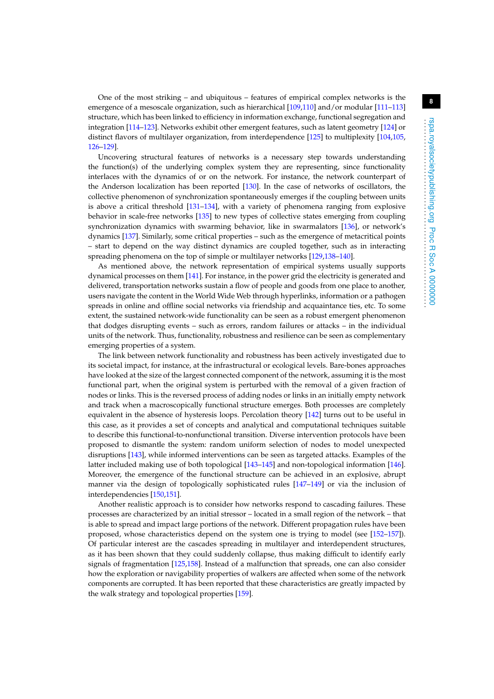One of the most striking – and ubiquitous – features of empirical complex networks is the emergence of a mesoscale organization, such as hierarchical [\[109](#page-16-18)[,110\]](#page-16-19) and/or modular [\[111–](#page-16-20)[113\]](#page-16-21) structure, which has been linked to efficiency in information exchange, functional segregation and integration [\[114–](#page-16-22)[123\]](#page-17-0). Networks exhibit other emergent features, such as latent geometry [\[124\]](#page-17-1) or distinct flavors of multilayer organization, from interdependence [\[125\]](#page-17-2) to multiplexity [\[104](#page-16-13)[,105,](#page-16-14) [126–](#page-17-3)[129\]](#page-17-4).

Uncovering structural features of networks is a necessary step towards understanding the function(s) of the underlying complex system they are representing, since functionality interlaces with the dynamics of or on the network. For instance, the network counterpart of the Anderson localization has been reported [\[130\]](#page-17-5). In the case of networks of oscillators, the collective phenomenon of synchronization spontaneously emerges if the coupling between units is above a critical threshold [\[131](#page-17-6)[–134\]](#page-17-7), with a variety of phenomena ranging from explosive behavior in scale-free networks [\[135\]](#page-17-8) to new types of collective states emerging from coupling synchronization dynamics with swarming behavior, like in swarmalators [\[136\]](#page-17-9), or network's dynamics [\[137\]](#page-17-10). Similarly, some critical properties – such as the emergence of metacritical points – start to depend on the way distinct dynamics are coupled together, such as in interacting spreading phenomena on the top of simple or multilayer networks [\[129](#page-17-4)[,138–](#page-17-11)[140\]](#page-17-12).

As mentioned above, the network representation of empirical systems usually supports dynamical processes on them [\[141\]](#page-17-13). For instance, in the power grid the electricity is generated and delivered, transportation networks sustain a flow of people and goods from one place to another, users navigate the content in the World Wide Web through hyperlinks, information or a pathogen spreads in online and offline social networks via friendship and acquaintance ties, etc. To some extent, the sustained network-wide functionality can be seen as a robust emergent phenomenon that dodges disrupting events – such as errors, random failures or attacks – in the individual units of the network. Thus, functionality, robustness and resilience can be seen as complementary emerging properties of a system.

The link between network functionality and robustness has been actively investigated due to its societal impact, for instance, at the infrastructural or ecological levels. Bare-bones approaches have looked at the size of the largest connected component of the network, assuming it is the most functional part, when the original system is perturbed with the removal of a given fraction of nodes or links. This is the reversed process of adding nodes or links in an initially empty network and track when a macroscopically functional structure emerges. Both processes are completely equivalent in the absence of hysteresis loops. Percolation theory [\[142\]](#page-17-14) turns out to be useful in this case, as it provides a set of concepts and analytical and computational techniques suitable to describe this functional-to-nonfunctional transition. Diverse intervention protocols have been proposed to dismantle the system: random uniform selection of nodes to model unexpected disruptions [\[143\]](#page-17-15), while informed interventions can be seen as targeted attacks. Examples of the latter included making use of both topological [\[143](#page-17-15)[–145\]](#page-18-0) and non-topological information [\[146\]](#page-18-1). Moreover, the emergence of the functional structure can be achieved in an explosive, abrupt manner via the design of topologically sophisticated rules [\[147](#page-18-2)[–149\]](#page-18-3) or via the inclusion of interdependencies [\[150,](#page-18-4)[151\]](#page-18-5).

Another realistic approach is to consider how networks respond to cascading failures. These processes are characterized by an initial stressor – located in a small region of the network – that is able to spread and impact large portions of the network. Different propagation rules have been proposed, whose characteristics depend on the system one is trying to model (see [\[152](#page-18-6)[–157\]](#page-18-7)). Of particular interest are the cascades spreading in multilayer and interdependent structures, as it has been shown that they could suddenly collapse, thus making difficult to identify early signals of fragmentation [\[125,](#page-17-2)[158\]](#page-18-8). Instead of a malfunction that spreads, one can also consider how the exploration or navigability properties of walkers are affected when some of the network components are corrupted. It has been reported that these characteristics are greatly impacted by the walk strategy and topological properties [\[159\]](#page-18-9).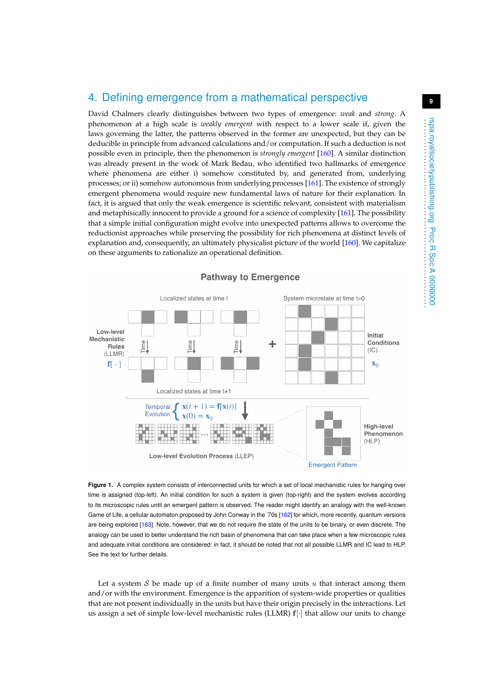#### 4. Defining emergence from a mathematical perspective

David Chalmers clearly distinguishes between two types of emergence: *weak* and *strong*. A phenomenon at a high scale is *weakly emergent* with respect to a lower scale if, given the laws governing the latter, the patterns observed in the former are unexpected, but they can be deducible in principle from advanced calculations and/or computation. If such a deduction is not possible even in principle, then the phenomenon is *strongly emergent* [\[160\]](#page-18-10). A similar distinction was already present in the work of Mark Bedau, who identified two hallmarks of emergence where phenomena are either i) somehow constituted by, and generated from, underlying processes; or ii) somehow autonomous from underlying processes [\[161\]](#page-18-11). The existence of strongly emergent phenomena would require new fundamental laws of nature for their explanation. In fact, it is argued that only the weak emergence is scientific relevant, consistent with materialism and metaphisically innocent to provide a ground for a science of complexity [\[161\]](#page-18-11). The possibility that a simple initial configuration might evolve into unexpected patterns allows to overcome the reductionist approaches while preserving the possibility for rich phenomena at distinct levels of explanation and, consequently, an ultimately physicalist picture of the world [\[160\]](#page-18-10). We capitalize on these arguments to rationalize an operational definition.



<span id="page-8-0"></span>**Figure 1.** A complex system consists of interconnected units for which a set of local mechanistic rules for hanging over time is assigned (top-left). An initial condition for such a system is given (top-right) and the system evolves according to its microscopic rules until an emergent pattern is observed. The reader might identify an analogy with the well-known Game of Life, a cellular automaton proposed by John Conway in the '70s [\[162\]](#page-18-12) for which, more recently, quantum versions are being explored [\[163\]](#page-18-13). Note, however, that we do not require the state of the units to be binary, or even discrete. The analogy can be used to better understand the rich basin of phenomena that can take place when a few microscopic rules and adequate initial conditions are considered: in fact, it should be noted that not all possible LLMR and IC lead to HLP. See the text for further details.

Let a system  $S$  be made up of a finite number of many units u that interact among them and/or with the environment. Emergence is the apparition of system-wide properties or qualities that are not present individually in the units but have their origin precisely in the interactions. Let us assign a set of simple low-level mechanistic rules (LLMR)  $f$ [·] that allow our units to change . . . . . . . . . . . . . . . . . . . . . . . . . . . . . . . . . . . . . . . . . . . . . . . . . . . . . . . . . . rspa.royalsocietypublishing.org Proc R Soc A 0000000

rspa.royalsocietypublishing.org Proc R Soc A 00000000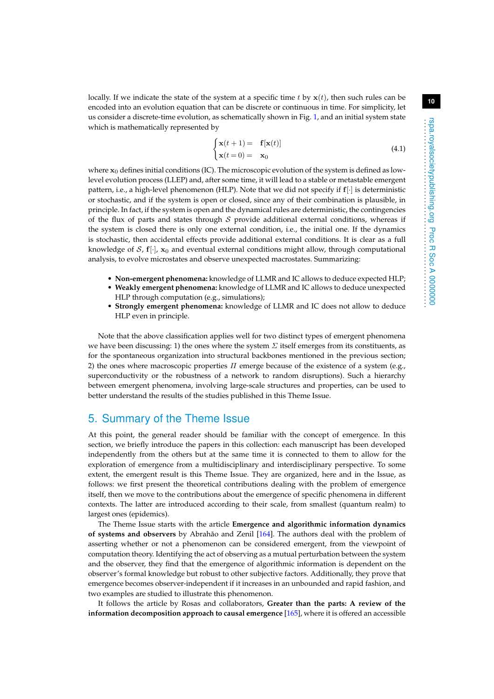locally. If we indicate the state of the system at a specific time t by  $x(t)$ , then such rules can be encoded into an evolution equation that can be discrete or continuous in time. For simplicity, let us consider a discrete-time evolution, as schematically shown in Fig. [1,](#page-8-0) and an initial system state which is mathematically represented by

$$
\begin{cases} \mathbf{x}(t+1) = \mathbf{f}[\mathbf{x}(t)] \\ \mathbf{x}(t=0) = \mathbf{x}_0 \end{cases}
$$
 (4.1)

where  $x_0$  defines initial conditions (IC). The microscopic evolution of the system is defined as lowlevel evolution process (LLEP) and, after some time, it will lead to a stable or metastable emergent pattern, i.e., a high-level phenomenon (HLP). Note that we did not specify if f[·] is deterministic or stochastic, and if the system is open or closed, since any of their combination is plausible, in principle. In fact, if the system is open and the dynamical rules are deterministic, the contingencies of the flux of parts and states through  $S$  provide additional external conditions, whereas if the system is closed there is only one external condition, i.e., the initial one. If the dynamics is stochastic, then accidental effects provide additional external conditions. It is clear as a full knowledge of S,  $f[\cdot]$ ,  $x_0$  and eventual external conditions might allow, through computational analysis, to evolve microstates and observe unexpected macrostates. Summarizing:

- **Non-emergent phenomena:** knowledge of LLMR and IC allows to deduce expected HLP; • **Weakly emergent phenomena:** knowledge of LLMR and IC allows to deduce unexpected
- HLP through computation (e.g., simulations);
- **Strongly emergent phenomena:** knowledge of LLMR and IC does not allow to deduce HLP even in principle.

Note that the above classification applies well for two distinct types of emergent phenomena we have been discussing: 1) the ones where the system  $\Sigma$  itself emerges from its constituents, as for the spontaneous organization into structural backbones mentioned in the previous section; 2) the ones where macroscopic properties  $\Pi$  emerge because of the existence of a system (e.g., superconductivity or the robustness of a network to random disruptions). Such a hierarchy between emergent phenomena, involving large-scale structures and properties, can be used to better understand the results of the studies published in this Theme Issue.

## 5. Summary of the Theme Issue

At this point, the general reader should be familiar with the concept of emergence. In this section, we briefly introduce the papers in this collection: each manuscript has been developed independently from the others but at the same time it is connected to them to allow for the exploration of emergence from a multidisciplinary and interdisciplinary perspective. To some extent, the emergent result is this Theme Issue. They are organized, here and in the Issue, as follows: we first present the theoretical contributions dealing with the problem of emergence itself, then we move to the contributions about the emergence of specific phenomena in different contexts. The latter are introduced according to their scale, from smallest (quantum realm) to largest ones (epidemics).

The Theme Issue starts with the article **Emergence and algorithmic information dynamics of systems and observers** by Abrahão and Zenil [\[164\]](#page-18-14). The authors deal with the problem of asserting whether or not a phenomenon can be considered emergent, from the viewpoint of computation theory. Identifying the act of observing as a mutual perturbation between the system and the observer, they find that the emergence of algorithmic information is dependent on the observer's formal knowledge but robust to other subjective factors. Additionally, they prove that emergence becomes observer-independent if it increases in an unbounded and rapid fashion, and two examples are studied to illustrate this phenomenon.

It follows the article by Rosas and collaborators, **Greater than the parts: A review of the information decomposition approach to causal emergence** [\[165\]](#page-18-15), where it is offered an accessible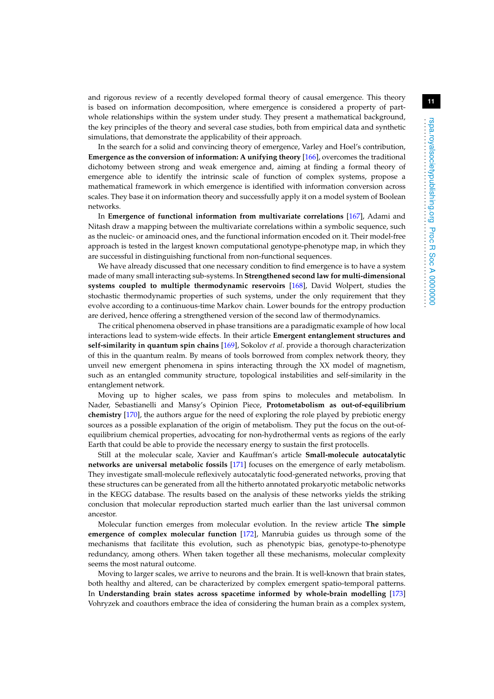and rigorous review of a recently developed formal theory of causal emergence. This theory is based on information decomposition, where emergence is considered a property of partwhole relationships within the system under study. They present a mathematical background, the key principles of the theory and several case studies, both from empirical data and synthetic simulations, that demonstrate the applicability of their approach.

In the search for a solid and convincing theory of emergence, Varley and Hoel's contribution, **Emergence as the conversion of information: A unifying theory** [\[166\]](#page-18-16), overcomes the traditional dichotomy between strong and weak emergence and, aiming at finding a formal theory of emergence able to identify the intrinsic scale of function of complex systems, propose a mathematical framework in which emergence is identified with information conversion across scales. They base it on information theory and successfully apply it on a model system of Boolean networks.

In **Emergence of functional information from multivariate correlations** [\[167\]](#page-18-17), Adami and Nitash draw a mapping between the multivariate correlations within a symbolic sequence, such as the nucleic- or aminoacid ones, and the functional information encoded on it. Their model-free approach is tested in the largest known computational genotype-phenotype map, in which they are successful in distinguishing functional from non-functional sequences.

We have already discussed that one necessary condition to find emergence is to have a system made of many small interacting sub-systems. In **Strengthened second law for multi-dimensional systems coupled to multiple thermodynamic reservoirs** [\[168\]](#page-18-18), David Wolpert, studies the stochastic thermodynamic properties of such systems, under the only requirement that they evolve according to a continuous-time Markov chain. Lower bounds for the entropy production are derived, hence offering a strengthened version of the second law of thermodynamics.

The critical phenomena observed in phase transitions are a paradigmatic example of how local interactions lead to system-wide effects. In their article **Emergent entanglement structures and self-similarity in quantum spin chains** [\[169\]](#page-18-19), Sokolov *et al*. provide a thorough characterization of this in the quantum realm. By means of tools borrowed from complex network theory, they unveil new emergent phenomena in spins interacting through the XX model of magnetism, such as an entangled community structure, topological instabilities and self-similarity in the entanglement network.

Moving up to higher scales, we pass from spins to molecules and metabolism. In Nader, Sebastianelli and Mansy's Opinion Piece, **Protometabolism as out-of-equilibrium chemistry** [\[170\]](#page-18-20), the authors argue for the need of exploring the role played by prebiotic energy sources as a possible explanation of the origin of metabolism. They put the focus on the out-ofequilibrium chemical properties, advocating for non-hydrothermal vents as regions of the early Earth that could be able to provide the necessary energy to sustain the first protocells.

Still at the molecular scale, Xavier and Kauffman's article **Small-molecule autocatalytic networks are universal metabolic fossils** [\[171\]](#page-19-0) focuses on the emergence of early metabolism. They investigate small-molecule reflexively autocatalytic food-generated networks, proving that these structures can be generated from all the hitherto annotated prokaryotic metabolic networks in the KEGG database. The results based on the analysis of these networks yields the striking conclusion that molecular reproduction started much earlier than the last universal common ancestor.

Molecular function emerges from molecular evolution. In the review article **The simple emergence of complex molecular function** [\[172\]](#page-19-1), Manrubia guides us through some of the mechanisms that facilitate this evolution, such as phenotypic bias, genotype-to-phenotype redundancy, among others. When taken together all these mechanisms, molecular complexity seems the most natural outcome.

Moving to larger scales, we arrive to neurons and the brain. It is well-known that brain states, both healthy and altered, can be characterized by complex emergent spatio-temporal patterns. In **Understanding brain states across spacetime informed by whole-brain modelling** [\[173\]](#page-19-2) Vohryzek and coauthors embrace the idea of considering the human brain as a complex system,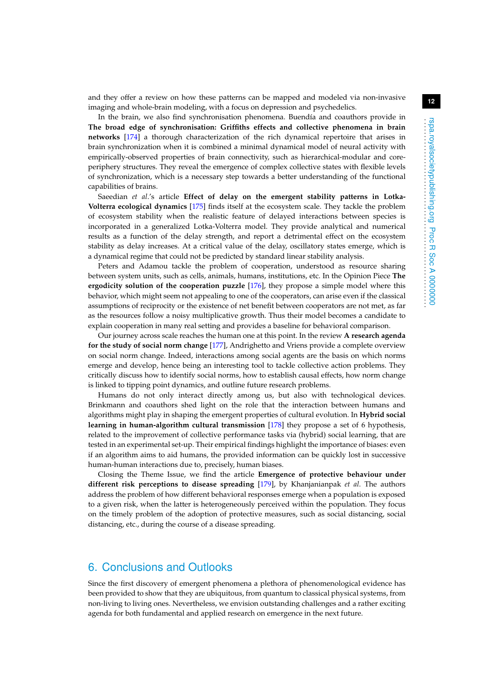In the brain, we also find synchronisation phenomena. Buendía and coauthors provide in **The broad edge of synchronisation: Griffiths effects and collective phenomena in brain networks** [\[174\]](#page-19-3) a thorough characterization of the rich dynamical repertoire that arises in brain synchronization when it is combined a minimal dynamical model of neural activity with empirically-observed properties of brain connectivity, such as hierarchical-modular and coreperiphery structures. They reveal the emergence of complex collective states with flexible levels of synchronization, which is a necessary step towards a better understanding of the functional capabilities of brains.

Saeedian *et al*.'s article **Effect of delay on the emergent stability patterns in Lotka-Volterra ecological dynamics** [\[175\]](#page-19-4) finds itself at the ecosystem scale. They tackle the problem of ecosystem stability when the realistic feature of delayed interactions between species is incorporated in a generalized Lotka-Volterra model. They provide analytical and numerical results as a function of the delay strength, and report a detrimental effect on the ecosystem stability as delay increases. At a critical value of the delay, oscillatory states emerge, which is a dynamical regime that could not be predicted by standard linear stability analysis.

Peters and Adamou tackle the problem of cooperation, understood as resource sharing between system units, such as cells, animals, humans, institutions, etc. In the Opinion Piece **The ergodicity solution of the cooperation puzzle** [\[176\]](#page-19-5), they propose a simple model where this behavior, which might seem not appealing to one of the cooperators, can arise even if the classical assumptions of reciprocity or the existence of net benefit between cooperators are not met, as far as the resources follow a noisy multiplicative growth. Thus their model becomes a candidate to explain cooperation in many real setting and provides a baseline for behavioral comparison.

Our journey across scale reaches the human one at this point. In the review **A research agenda for the study of social norm change** [\[177\]](#page-19-6), Andrighetto and Vriens provide a complete overview on social norm change. Indeed, interactions among social agents are the basis on which norms emerge and develop, hence being an interesting tool to tackle collective action problems. They critically discuss how to identify social norms, how to establish causal effects, how norm change is linked to tipping point dynamics, and outline future research problems.

Humans do not only interact directly among us, but also with technological devices. Brinkmann and coauthors shed light on the role that the interaction between humans and algorithms might play in shaping the emergent properties of cultural evolution. In **Hybrid social learning in human-algorithm cultural transmission** [\[178\]](#page-19-7) they propose a set of 6 hypothesis, related to the improvement of collective performance tasks via (hybrid) social learning, that are tested in an experimental set-up. Their empirical findings highlight the importance of biases: even if an algorithm aims to aid humans, the provided information can be quickly lost in successive human-human interactions due to, precisely, human biases.

Closing the Theme Issue, we find the article **Emergence of protective behaviour under different risk perceptions to disease spreading** [\[179\]](#page-19-8), by Khanjanianpak *et al*. The authors address the problem of how different behavioral responses emerge when a population is exposed to a given risk, when the latter is heterogeneously perceived within the population. They focus on the timely problem of the adoption of protective measures, such as social distancing, social distancing, etc., during the course of a disease spreading.

#### 6. Conclusions and Outlooks

Since the first discovery of emergent phenomena a plethora of phenomenological evidence has been provided to show that they are ubiquitous, from quantum to classical physical systems, from non-living to living ones. Nevertheless, we envision outstanding challenges and a rather exciting agenda for both fundamental and applied research on emergence in the next future.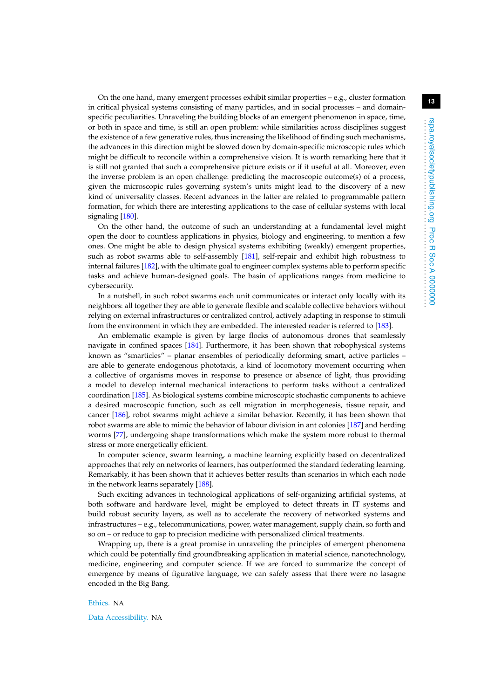On the one hand, many emergent processes exhibit similar properties  $-e.g.,$  cluster formation in critical physical systems consisting of many particles, and in social processes – and domainspecific peculiarities. Unraveling the building blocks of an emergent phenomenon in space, time, or both in space and time, is still an open problem: while similarities across disciplines suggest the existence of a few generative rules, thus increasing the likelihood of finding such mechanisms, the advances in this direction might be slowed down by domain-specific microscopic rules which might be difficult to reconcile within a comprehensive vision. It is worth remarking here that it is still not granted that such a comprehensive picture exists or if it useful at all. Moreover, even the inverse problem is an open challenge: predicting the macroscopic outcome(s) of a process, given the microscopic rules governing system's units might lead to the discovery of a new kind of universality classes. Recent advances in the latter are related to programmable pattern formation, for which there are interesting applications to the case of cellular systems with local signaling [\[180\]](#page-19-9).

On the other hand, the outcome of such an understanding at a fundamental level might open the door to countless applications in physics, biology and engineering, to mention a few ones. One might be able to design physical systems exhibiting (weakly) emergent properties, such as robot swarms able to self-assembly [\[181\]](#page-19-10), self-repair and exhibit high robustness to internal failures [\[182\]](#page-19-11), with the ultimate goal to engineer complex systems able to perform specific tasks and achieve human-designed goals. The basin of applications ranges from medicine to cybersecurity.

In a nutshell, in such robot swarms each unit communicates or interact only locally with its neighbors: all together they are able to generate flexible and scalable collective behaviors without relying on external infrastructures or centralized control, actively adapting in response to stimuli from the environment in which they are embedded. The interested reader is referred to [\[183\]](#page-19-12).

An emblematic example is given by large flocks of autonomous drones that seamlessly navigate in confined spaces [\[184\]](#page-19-13). Furthermore, it has been shown that robophysical systems known as "smarticles" – planar ensembles of periodically deforming smart, active particles – are able to generate endogenous phototaxis, a kind of locomotory movement occurring when a collective of organisms moves in response to presence or absence of light, thus providing a model to develop internal mechanical interactions to perform tasks without a centralized coordination [\[185\]](#page-19-14). As biological systems combine microscopic stochastic components to achieve a desired macroscopic function, such as cell migration in morphogenesis, tissue repair, and cancer [\[186\]](#page-19-15), robot swarms might achieve a similar behavior. Recently, it has been shown that robot swarms are able to mimic the behavior of labour division in ant colonies [\[187\]](#page-19-16) and herding worms [\[77\]](#page-15-13), undergoing shape transformations which make the system more robust to thermal stress or more energetically efficient.

In computer science, swarm learning, a machine learning explicitly based on decentralized approaches that rely on networks of learners, has outperformed the standard federating learning. Remarkably, it has been shown that it achieves better results than scenarios in which each node in the network learns separately [\[188\]](#page-19-17).

Such exciting advances in technological applications of self-organizing artificial systems, at both software and hardware level, might be employed to detect threats in IT systems and build robust security layers, as well as to accelerate the recovery of networked systems and infrastructures – e.g., telecommunications, power, water management, supply chain, so forth and so on – or reduce to gap to precision medicine with personalized clinical treatments.

Wrapping up, there is a great promise in unraveling the principles of emergent phenomena which could be potentially find groundbreaking application in material science, nanotechnology, medicine, engineering and computer science. If we are forced to summarize the concept of emergence by means of figurative language, we can safely assess that there were no lasagne encoded in the Big Bang.

#### Ethics. NA

Data Accessibility. NA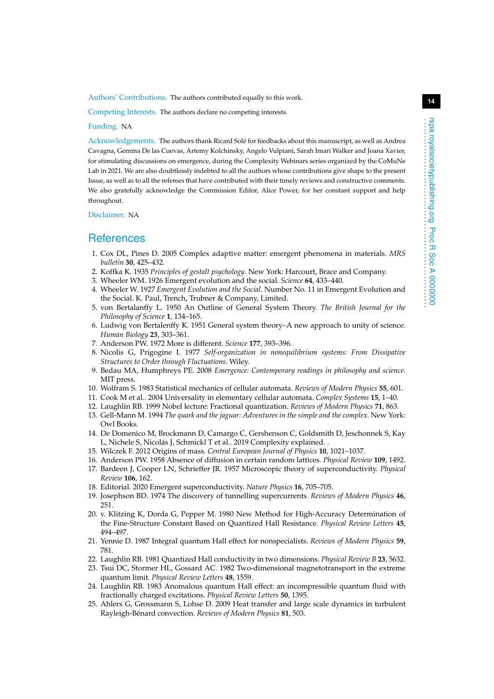Authors' Contributions. The authors contributed equally to this work.

Competing Interests. The authors declare no competing interests.

#### Funding. NA

Acknowledgements. The authors thank Ricard Solé for feedbacks about this manuscript, as well as Andrea Cavagna, Gemma De las Cuevas, Artemy Kolchinsky, Angelo Vulpiani, Sarah Imari Walker and Joana Xavier, for stimulating discussions on emergence, during the Complexity Webinars series organized by the CoMuNe Lab in 2021. We are also doubtlessly indebted to all the authors whose contributions give shape to the present Issue, as well as to all the referees that have contributed with their timely reviews and constructive comments. We also gratefully acknowledge the Commission Editor, Alice Power, for her constant support and help throughout.

Disclaimer. NA

#### **References**

- <span id="page-13-0"></span>1. Cox DL, Pines D. 2005 Complex adaptive matter: emergent phenomena in materials. *MRS bulletin* **30**, 425–432.
- <span id="page-13-1"></span>2. Koffka K. 1935 *Principles of gestalt psychology*. New York: Harcourt, Brace and Company.
- <span id="page-13-2"></span>3. Wheeler WM. 1926 Emergent evolution and the social. *Science* **64**, 433–440.
- <span id="page-13-3"></span>4. Wheeler W. 1927 *Emergent Evolution and the Social*. Number No. 11 in Emergent Evolution and the Social. K. Paul, Trench, Trubner & Company, Limited.
- <span id="page-13-4"></span>5. von Bertalanffy L. 1950 An Outline of General System Theory. *The British Journal for the Philosophy of Science* **1**, 134–165.
- <span id="page-13-5"></span>6. Ludwig von Bertalenffy K. 1951 General system theory–A new approach to unity of science. *Human Biology* **23**, 303–361.
- <span id="page-13-6"></span>7. Anderson PW. 1972 More is different. *Science* **177**, 393–396.
- <span id="page-13-7"></span>8. Nicolis G, Prigogine I. 1977 *Self-organization in nonequilibrium systems: From Dissipative Structures to Order through Fluctuations*. Wiley.
- <span id="page-13-8"></span>9. Bedau MA, Humphreys PE. 2008 *Emergence: Contemporary readings in philosophy and science.* MIT press.
- <span id="page-13-9"></span>10. Wolfram S. 1983 Statistical mechanics of cellular automata. *Reviews of Modern Physics* **55**, 601.
- <span id="page-13-10"></span>11. Cook M et al.. 2004 Universality in elementary cellular automata. *Complex Systems* **15**, 1–40.
- <span id="page-13-11"></span>12. Laughlin RB. 1999 Nobel lecture: Fractional quantization. *Reviews of Modern Physics* **71**, 863.
- <span id="page-13-12"></span>13. Gell-Mann M. 1994 *The quark and the jaguar: Adventures in the simple and the complex*. New York: Owl Books.
- <span id="page-13-13"></span>14. De Domenico M, Brockmann D, Camargo C, Gershenson C, Goldsmith D, Jeschonnek S, Kay L, Nichele S, Nicolás J, Schmickl T et al.. 2019 Complexity explained. .
- <span id="page-13-14"></span>15. Wilczek F. 2012 Origins of mass. *Central European Journal of Physics* **10**, 1021–1037.
- <span id="page-13-15"></span>16. Anderson PW. 1958 Absence of diffusion in certain random lattices. *Physical Review* **109**, 1492.
- <span id="page-13-16"></span>17. Bardeen J, Cooper LN, Schrieffer JR. 1957 Microscopic theory of superconductivity. *Physical Review* **106**, 162.
- <span id="page-13-17"></span>18. Editorial. 2020 Emergent superconductivity. *Nature Physics* **16**, 705–705.
- <span id="page-13-18"></span>19. Josephson BD. 1974 The discovery of tunnelling supercurrents. *Reviews of Modern Physics* **46**, 251.
- <span id="page-13-19"></span>20. v. Klitzing K, Dorda G, Pepper M. 1980 New Method for High-Accuracy Determination of the Fine-Structure Constant Based on Quantized Hall Resistance. *Physical Review Letters* **45**, 494–497.
- <span id="page-13-20"></span>21. Yennie D. 1987 Integral quantum Hall effect for nonspecialists. *Reviews of Modern Physics* **59**, 781.
- <span id="page-13-21"></span>22. Laughlin RB. 1981 Quantized Hall conductivity in two dimensions. *Physical Review B* **23**, 5632.
- 23. Tsui DC, Stormer HL, Gossard AC. 1982 Two-dimensional magnetotransport in the extreme quantum limit. *Physical Review Letters* **48**, 1559.
- <span id="page-13-22"></span>24. Laughlin RB. 1983 Anomalous quantum Hall effect: an incompressible quantum fluid with fractionally charged excitations. *Physical Review Letters* **50**, 1395.
- <span id="page-13-23"></span>25. Ahlers G, Grossmann S, Lohse D. 2009 Heat transfer and large scale dynamics in turbulent Rayleigh-Bénard convection. *Reviews of Modern Physics* **81**, 503.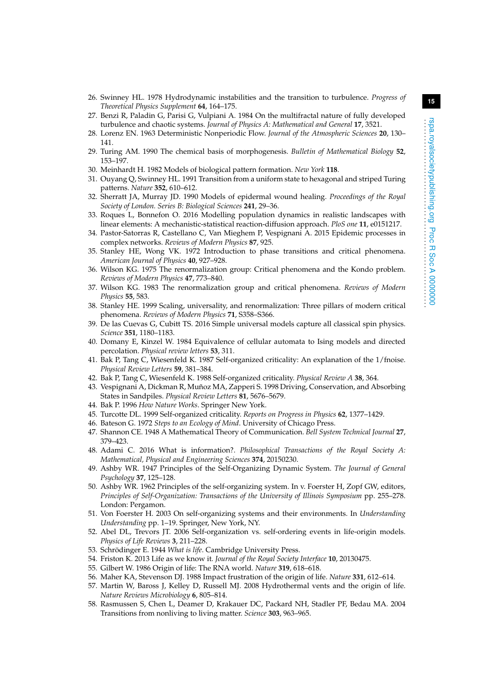- <span id="page-14-0"></span>26. Swinney HL. 1978 Hydrodynamic instabilities and the transition to turbulence. *Progress of Theoretical Physics Supplement* **64**, 164–175.
- <span id="page-14-1"></span>27. Benzi R, Paladin G, Parisi G, Vulpiani A. 1984 On the multifractal nature of fully developed turbulence and chaotic systems. *Journal of Physics A: Mathematical and General* **17**, 3521.
- <span id="page-14-2"></span>28. Lorenz EN. 1963 Deterministic Nonperiodic Flow. *Journal of the Atmospheric Sciences* **20**, 130– 141.
- <span id="page-14-3"></span>29. Turing AM. 1990 The chemical basis of morphogenesis. *Bulletin of Mathematical Biology* **52**, 153–197.
- <span id="page-14-4"></span>30. Meinhardt H. 1982 Models of biological pattern formation. *New York* **118**.
- <span id="page-14-5"></span>31. Ouyang Q, Swinney HL. 1991 Transition from a uniform state to hexagonal and striped Turing patterns. *Nature* **352**, 610–612.
- <span id="page-14-6"></span>32. Sherratt JA, Murray JD. 1990 Models of epidermal wound healing. *Proceedings of the Royal Society of London. Series B: Biological Sciences* **241**, 29–36.
- <span id="page-14-7"></span>33. Roques L, Bonnefon O. 2016 Modelling population dynamics in realistic landscapes with linear elements: A mechanistic-statistical reaction-diffusion approach. *PloS one* **11**, e0151217.
- <span id="page-14-8"></span>34. Pastor-Satorras R, Castellano C, Van Mieghem P, Vespignani A. 2015 Epidemic processes in complex networks. *Reviews of Modern Physics* **87**, 925.
- <span id="page-14-9"></span>35. Stanley HE, Wong VK. 1972 Introduction to phase transitions and critical phenomena. *American Journal of Physics* **40**, 927–928.
- 36. Wilson KG. 1975 The renormalization group: Critical phenomena and the Kondo problem. *Reviews of Modern Physics* **47**, 773–840.
- 37. Wilson KG. 1983 The renormalization group and critical phenomena. *Reviews of Modern Physics* **55**, 583.
- <span id="page-14-10"></span>38. Stanley HE. 1999 Scaling, universality, and renormalization: Three pillars of modern critical phenomena. *Reviews of Modern Physics* **71**, S358–S366.
- <span id="page-14-11"></span>39. De las Cuevas G, Cubitt TS. 2016 Simple universal models capture all classical spin physics. *Science* **351**, 1180–1183.
- <span id="page-14-12"></span>40. Domany E, Kinzel W. 1984 Equivalence of cellular automata to Ising models and directed percolation. *Physical review letters* **53**, 311.
- <span id="page-14-13"></span>41. Bak P, Tang C, Wiesenfeld K. 1987 Self-organized criticality: An explanation of the 1/fnoise. *Physical Review Letters* **59**, 381–384.
- <span id="page-14-14"></span>42. Bak P, Tang C, Wiesenfeld K. 1988 Self-organized criticality. *Physical Review A* **38**, 364.
- <span id="page-14-15"></span>43. Vespignani A, Dickman R, Muñoz MA, Zapperi S. 1998 Driving, Conservation, and Absorbing States in Sandpiles. *Physical Review Letters* **81**, 5676–5679.
- <span id="page-14-16"></span>44. Bak P. 1996 *How Nature Works*. Springer New York.
- <span id="page-14-17"></span>45. Turcotte DL. 1999 Self-organized criticality. *Reports on Progress in Physics* **62**, 1377–1429.
- <span id="page-14-18"></span>46. Bateson G. 1972 *Steps to an Ecology of Mind*. University of Chicago Press.
- <span id="page-14-19"></span>47. Shannon CE. 1948 A Mathematical Theory of Communication. *Bell System Technical Journal* **27**, 379–423.
- <span id="page-14-20"></span>48. Adami C. 2016 What is information?. *Philosophical Transactions of the Royal Society A: Mathematical, Physical and Engineering Sciences* **374**, 20150230.
- <span id="page-14-21"></span>49. Ashby WR. 1947 Principles of the Self-Organizing Dynamic System. *The Journal of General Psychology* **37**, 125–128.
- <span id="page-14-22"></span>50. Ashby WR. 1962 Principles of the self-organizing system. In v. Foerster H, Zopf GW, editors, *Principles of Self-Organization: Transactions of the University of Illinois Symposium* pp. 255–278. London: Pergamon.
- <span id="page-14-23"></span>51. Von Foerster H. 2003 On self-organizing systems and their environments. In *Understanding Understanding* pp. 1–19. Springer, New York, NY.
- <span id="page-14-24"></span>52. Abel DL, Trevors JT. 2006 Self-organization vs. self-ordering events in life-origin models. *Physics of Life Reviews* **3**, 211–228.
- <span id="page-14-25"></span>53. Schrödinger E. 1944 *What is life*. Cambridge University Press.
- <span id="page-14-26"></span>54. Friston K. 2013 Life as we know it. *Journal of the Royal Society Interface* **10**, 20130475.
- <span id="page-14-27"></span>55. Gilbert W. 1986 Origin of life: The RNA world. *Nature* **319**, 618–618.
- 56. Maher KA, Stevenson DJ. 1988 Impact frustration of the origin of life. *Nature* **331**, 612–614.
- 57. Martin W, Baross J, Kelley D, Russell MJ. 2008 Hydrothermal vents and the origin of life. *Nature Reviews Microbiology* **6**, 805–814.
- 58. Rasmussen S, Chen L, Deamer D, Krakauer DC, Packard NH, Stadler PF, Bedau MA. 2004 Transitions from nonliving to living matter. *Science* **303**, 963–965.

. . . . . . . . . . . . . . . . . . . . . . . . . . . . . . . . . . . . . . . . . . . . . . . . . . . . . . . . . .

**Proc R Soc A 0000000**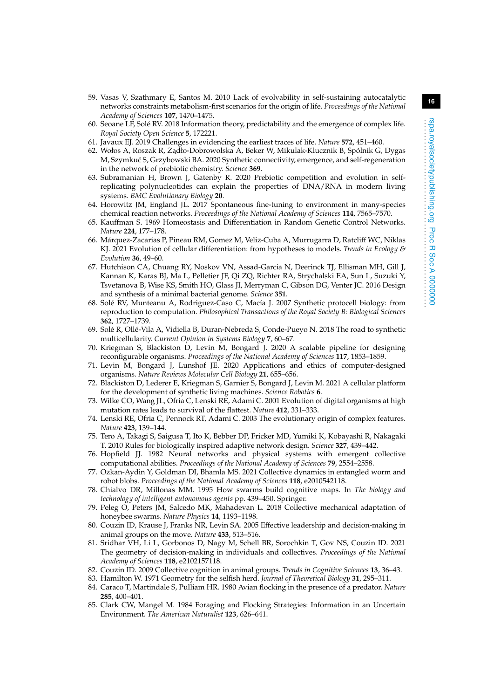- 59. Vasas V, Szathmary E, Santos M. 2010 Lack of evolvability in self-sustaining autocatalytic networks constraints metabolism-first scenarios for the origin of life. *Proceedings of the National Academy of Sciences* **107**, 1470–1475.
- 60. Seoane LF, Solé RV. 2018 Information theory, predictability and the emergence of complex life. *Royal Society Open Science* **5**, 172221.
- <span id="page-15-0"></span>61. Javaux EJ. 2019 Challenges in evidencing the earliest traces of life. *Nature* **572**, 451–460.
- <span id="page-15-1"></span>62. Wołos A, Roszak R, Żądło-Dobrowolska A, Beker W, Mikulak-Klucznik B, Spólnik G, Dygas M, Szymkuć S, Grzybowski BA. 2020 Synthetic connectivity, emergence, and self-regeneration in the network of prebiotic chemistry. *Science* **369**.
- <span id="page-15-2"></span>63. Subramanian H, Brown J, Gatenby R. 2020 Prebiotic competition and evolution in selfreplicating polynucleotides can explain the properties of DNA/RNA in modern living systems. *BMC Evolutionary Biology* **20**.
- <span id="page-15-3"></span>64. Horowitz JM, England JL. 2017 Spontaneous fine-tuning to environment in many-species chemical reaction networks. *Proceedings of the National Academy of Sciences* **114**, 7565–7570.
- <span id="page-15-4"></span>65. Kauffman S. 1969 Homeostasis and Differentiation in Random Genetic Control Networks. *Nature* **224**, 177–178.
- <span id="page-15-5"></span>66. Márquez-Zacarías P, Pineau RM, Gomez M, Veliz-Cuba A, Murrugarra D, Ratcliff WC, Niklas KJ. 2021 Evolution of cellular differentiation: from hypotheses to models. *Trends in Ecology & Evolution* **36**, 49–60.
- <span id="page-15-6"></span>67. Hutchison CA, Chuang RY, Noskov VN, Assad-Garcia N, Deerinck TJ, Ellisman MH, Gill J, Kannan K, Karas BJ, Ma L, Pelletier JF, Qi ZQ, Richter RA, Strychalski EA, Sun L, Suzuki Y, Tsvetanova B, Wise KS, Smith HO, Glass JI, Merryman C, Gibson DG, Venter JC. 2016 Design and synthesis of a minimal bacterial genome. *Science* **351**.
- <span id="page-15-7"></span>68. Solé RV, Munteanu A, Rodriguez-Caso C, Macía J. 2007 Synthetic protocell biology: from reproduction to computation. *Philosophical Transactions of the Royal Society B: Biological Sciences* **362**, 1727–1739.
- 69. Solé R, Ollé-Vila A, Vidiella B, Duran-Nebreda S, Conde-Pueyo N. 2018 The road to synthetic multicellularity. *Current Opinion in Systems Biology* **7**, 60–67.
- 70. Kriegman S, Blackiston D, Levin M, Bongard J. 2020 A scalable pipeline for designing reconfigurable organisms. *Proceedings of the National Academy of Sciences* **117**, 1853–1859.
- 71. Levin M, Bongard J, Lunshof JE. 2020 Applications and ethics of computer-designed organisms. *Nature Reviews Molecular Cell Biology* **21**, 655–656.
- <span id="page-15-8"></span>72. Blackiston D, Lederer E, Kriegman S, Garnier S, Bongard J, Levin M. 2021 A cellular platform for the development of synthetic living machines. *Science Robotics* **6**.
- <span id="page-15-9"></span>73. Wilke CO, Wang JL, Ofria C, Lenski RE, Adami C. 2001 Evolution of digital organisms at high mutation rates leads to survival of the flattest. *Nature* **412**, 331–333.
- <span id="page-15-10"></span>74. Lenski RE, Ofria C, Pennock RT, Adami C. 2003 The evolutionary origin of complex features. *Nature* **423**, 139–144.
- <span id="page-15-11"></span>75. Tero A, Takagi S, Saigusa T, Ito K, Bebber DP, Fricker MD, Yumiki K, Kobayashi R, Nakagaki T. 2010 Rules for biologically inspired adaptive network design. *Science* **327**, 439–442.
- <span id="page-15-12"></span>76. Hopfield JJ. 1982 Neural networks and physical systems with emergent collective computational abilities. *Proceedings of the National Academy of Sciences* **79**, 2554–2558.
- <span id="page-15-13"></span>77. Ozkan-Aydin Y, Goldman DI, Bhamla MS. 2021 Collective dynamics in entangled worm and robot blobs. *Proceedings of the National Academy of Sciences* **118**, e2010542118.
- <span id="page-15-14"></span>78. Chialvo DR, Millonas MM. 1995 How swarms build cognitive maps. In *The biology and technology of intelligent autonomous agents* pp. 439–450. Springer.
- <span id="page-15-15"></span>79. Peleg O, Peters JM, Salcedo MK, Mahadevan L. 2018 Collective mechanical adaptation of honeybee swarms. *Nature Physics* **14**, 1193–1198.
- <span id="page-15-16"></span>80. Couzin ID, Krause J, Franks NR, Levin SA. 2005 Effective leadership and decision-making in animal groups on the move. *Nature* **433**, 513–516.
- <span id="page-15-17"></span>81. Sridhar VH, Li L, Gorbonos D, Nagy M, Schell BR, Sorochkin T, Gov NS, Couzin ID. 2021 The geometry of decision-making in individuals and collectives. *Proceedings of the National Academy of Sciences* **118**, e2102157118.
- <span id="page-15-18"></span>82. Couzin ID. 2009 Collective cognition in animal groups. *Trends in Cognitive Sciences* **13**, 36–43.
- <span id="page-15-19"></span>83. Hamilton W. 1971 Geometry for the selfish herd. *Journal of Theoretical Biology* **31**, 295–311.
- <span id="page-15-20"></span>84. Caraco T, Martindale S, Pulliam HR. 1980 Avian flocking in the presence of a predator. *Nature* **285**, 400–401.
- <span id="page-15-21"></span>85. Clark CW, Mangel M. 1984 Foraging and Flocking Strategies: Information in an Uncertain Environment. *The American Naturalist* **123**, 626–641.

. . . . . . . . . . . . . . . . . . . . . . . . . . . . . . . . . . . . . . . . . . . . . . . . . . . . . . . . . .

**Proc R Soc A 0000000**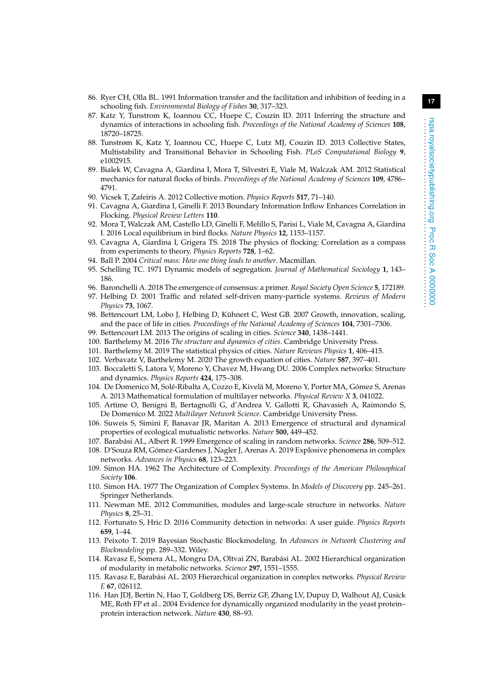- <span id="page-16-0"></span>86. Ryer CH, Olla BL. 1991 Information transfer and the facilitation and inhibition of feeding in a schooling fish. *Environmental Biology of Fishes* **30**, 317–323.
- 87. Katz Y, Tunstrom K, Ioannou CC, Huepe C, Couzin ID. 2011 Inferring the structure and dynamics of interactions in schooling fish. *Proceedings of the National Academy of Sciences* **108**, 18720–18725.
- <span id="page-16-1"></span>88. Tunstrøm K, Katz Y, Ioannou CC, Huepe C, Lutz MJ, Couzin ID. 2013 Collective States, Multistability and Transitional Behavior in Schooling Fish. *PLoS Computational Biology* **9**, e1002915.
- <span id="page-16-2"></span>89. Bialek W, Cavagna A, Giardina I, Mora T, Silvestri E, Viale M, Walczak AM. 2012 Statistical mechanics for natural flocks of birds. *Proceedings of the National Academy of Sciences* **109**, 4786– 4791.
- 90. Vicsek T, Zafeiris A. 2012 Collective motion. *Physics Reports* **517**, 71–140.
- 91. Cavagna A, Giardina I, Ginelli F. 2013 Boundary Information Inflow Enhances Correlation in Flocking. *Physical Review Letters* **110**.
- 92. Mora T, Walczak AM, Castello LD, Ginelli F, Melillo S, Parisi L, Viale M, Cavagna A, Giardina I. 2016 Local equilibrium in bird flocks. *Nature Physics* **12**, 1153–1157.
- <span id="page-16-3"></span>93. Cavagna A, Giardina I, Grigera TS. 2018 The physics of flocking: Correlation as a compass from experiments to theory. *Physics Reports* **728**, 1–62.
- <span id="page-16-4"></span>94. Ball P. 2004 *Critical mass: How one thing leads to another*. Macmillan.
- <span id="page-16-5"></span>95. Schelling TC. 1971 Dynamic models of segregation. *Journal of Mathematical Sociology* **1**, 143– 186.
- <span id="page-16-7"></span><span id="page-16-6"></span>96. Baronchelli A. 2018 The emergence of consensus: a primer. *Royal Society Open Science* **5**, 172189. 97. Helbing D. 2001 Traffic and related self-driven many-particle systems. *Reviews of Modern Physics* **73**, 1067.
- <span id="page-16-8"></span>98. Bettencourt LM, Lobo J, Helbing D, Kühnert C, West GB. 2007 Growth, innovation, scaling, and the pace of life in cities. *Proceedings of the National Academy of Sciences* **104**, 7301–7306.
- 99. Bettencourt LM. 2013 The origins of scaling in cities. *Science* **340**, 1438–1441.
- <span id="page-16-9"></span>100. Barthelemy M. 2016 *The structure and dynamics of cities*. Cambridge University Press.
- <span id="page-16-10"></span>101. Barthelemy M. 2019 The statistical physics of cities. *Nature Reviews Physics* **1**, 406–415.
- <span id="page-16-11"></span>102. Verbavatz V, Barthelemy M. 2020 The growth equation of cities. *Nature* **587**, 397–401.
- <span id="page-16-12"></span>103. Boccaletti S, Latora V, Moreno Y, Chavez M, Hwang DU. 2006 Complex networks: Structure and dynamics. *Physics Reports* **424**, 175–308.
- <span id="page-16-13"></span>104. De Domenico M, Solé-Ribalta A, Cozzo E, Kivelä M, Moreno Y, Porter MA, Gómez S, Arenas A. 2013 Mathematical formulation of multilayer networks. *Physical Review X* **3**, 041022.
- <span id="page-16-14"></span>105. Artime O, Benigni B, Bertagnolli G, d'Andrea V, Gallotti R, Ghavasieh A, Raimondo S, De Domenico M. 2022 *Multilayer Network Science*. Cambridge University Press.
- <span id="page-16-15"></span>106. Suweis S, Simini F, Banavar JR, Maritan A. 2013 Emergence of structural and dynamical properties of ecological mutualistic networks. *Nature* **500**, 449–452.
- <span id="page-16-16"></span>107. Barabási AL, Albert R. 1999 Emergence of scaling in random networks. *Science* **286**, 509–512.
- <span id="page-16-17"></span>108. D'Souza RM, Gómez-Gardenes J, Nagler J, Arenas A. 2019 Explosive phenomena in complex networks. *Advances in Physics* **68**, 123–223.
- <span id="page-16-18"></span>109. Simon HA. 1962 The Architecture of Complexity. *Proceedings of the American Philosophical Society* **106**.
- <span id="page-16-19"></span>110. Simon HA. 1977 The Organization of Complex Systems. In *Models of Discovery* pp. 245–261. Springer Netherlands.
- <span id="page-16-20"></span>111. Newman ME. 2012 Communities, modules and large-scale structure in networks. *Nature Physics* **8**, 25–31.
- 112. Fortunato S, Hric D. 2016 Community detection in networks: A user guide. *Physics Reports* **659**, 1–44.
- <span id="page-16-21"></span>113. Peixoto T. 2019 Bayesian Stochastic Blockmodeling. In *Advances in Network Clustering and Blockmodeling* pp. 289–332. Wiley.
- <span id="page-16-22"></span>114. Ravasz E, Somera AL, Mongru DA, Oltvai ZN, Barabási AL. 2002 Hierarchical organization of modularity in metabolic networks. *Science* **297**, 1551–1555.
- 115. Ravasz E, Barabási AL. 2003 Hierarchical organization in complex networks. *Physical Review E* **67**, 026112.
- 116. Han JDJ, Bertin N, Hao T, Goldberg DS, Berriz GF, Zhang LV, Dupuy D, Walhout AJ, Cusick ME, Roth FP et al.. 2004 Evidence for dynamically organized modularity in the yeast protein– protein interaction network. *Nature* **430**, 88–93.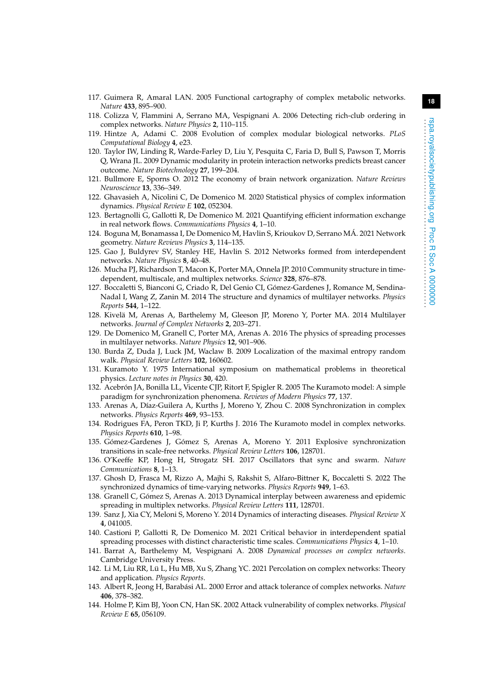- 117. Guimera R, Amaral LAN. 2005 Functional cartography of complex metabolic networks. *Nature* **433**, 895–900.
- 118. Colizza V, Flammini A, Serrano MA, Vespignani A. 2006 Detecting rich-club ordering in complex networks. *Nature Physics* **2**, 110–115.
- 119. Hintze A, Adami C. 2008 Evolution of complex modular biological networks. *PLoS Computational Biology* **4**, e23.
- 120. Taylor IW, Linding R, Warde-Farley D, Liu Y, Pesquita C, Faria D, Bull S, Pawson T, Morris Q, Wrana JL. 2009 Dynamic modularity in protein interaction networks predicts breast cancer outcome. *Nature Biotechnology* **27**, 199–204.
- 121. Bullmore E, Sporns O. 2012 The economy of brain network organization. *Nature Reviews Neuroscience* **13**, 336–349.
- 122. Ghavasieh A, Nicolini C, De Domenico M. 2020 Statistical physics of complex information dynamics. *Physical Review E* **102**, 052304.
- <span id="page-17-0"></span>123. Bertagnolli G, Gallotti R, De Domenico M. 2021 Quantifying efficient information exchange in real network flows. *Communications Physics* **4**, 1–10.
- <span id="page-17-1"></span>124. Boguna M, Bonamassa I, De Domenico M, Havlin S, Krioukov D, Serrano MÁ. 2021 Network geometry. *Nature Reviews Physics* **3**, 114–135.
- <span id="page-17-2"></span>125. Gao J, Buldyrev SV, Stanley HE, Havlin S. 2012 Networks formed from interdependent networks. *Nature Physics* **8**, 40–48.
- <span id="page-17-3"></span>126. Mucha PJ, Richardson T, Macon K, Porter MA, Onnela JP. 2010 Community structure in timedependent, multiscale, and multiplex networks. *Science* **328**, 876–878.
- 127. Boccaletti S, Bianconi G, Criado R, Del Genio CI, Gómez-Gardenes J, Romance M, Sendina-Nadal I, Wang Z, Zanin M. 2014 The structure and dynamics of multilayer networks. *Physics Reports* **544**, 1–122.
- 128. Kivelä M, Arenas A, Barthelemy M, Gleeson JP, Moreno Y, Porter MA. 2014 Multilayer networks. *Journal of Complex Networks* **2**, 203–271.
- <span id="page-17-4"></span>129. De Domenico M, Granell C, Porter MA, Arenas A. 2016 The physics of spreading processes in multilayer networks. *Nature Physics* **12**, 901–906.
- <span id="page-17-5"></span>130. Burda Z, Duda J, Luck JM, Waclaw B. 2009 Localization of the maximal entropy random walk. *Physical Review Letters* **102**, 160602.
- <span id="page-17-6"></span>131. Kuramoto Y. 1975 International symposium on mathematical problems in theoretical physics. *Lecture notes in Physics* **30**, 420.
- 132. Acebrón JA, Bonilla LL, Vicente CJP, Ritort F, Spigler R. 2005 The Kuramoto model: A simple paradigm for synchronization phenomena. *Reviews of Modern Physics* **77**, 137.
- 133. Arenas A, Díaz-Guilera A, Kurths J, Moreno Y, Zhou C. 2008 Synchronization in complex networks. *Physics Reports* **469**, 93–153.
- <span id="page-17-7"></span>134. Rodrigues FA, Peron TKD, Ji P, Kurths J. 2016 The Kuramoto model in complex networks. *Physics Reports* **610**, 1–98.
- <span id="page-17-8"></span>135. Gómez-Gardenes J, Gómez S, Arenas A, Moreno Y. 2011 Explosive synchronization transitions in scale-free networks. *Physical Review Letters* **106**, 128701.
- <span id="page-17-9"></span>136. O'Keeffe KP, Hong H, Strogatz SH. 2017 Oscillators that sync and swarm. *Nature Communications* **8**, 1–13.
- <span id="page-17-10"></span>137. Ghosh D, Frasca M, Rizzo A, Majhi S, Rakshit S, Alfaro-Bittner K, Boccaletti S. 2022 The synchronized dynamics of time-varying networks. *Physics Reports* **949**, 1–63.
- <span id="page-17-11"></span>138. Granell C, Gómez S, Arenas A. 2013 Dynamical interplay between awareness and epidemic spreading in multiplex networks. *Physical Review Letters* **111**, 128701.
- 139. Sanz J, Xia CY, Meloni S, Moreno Y. 2014 Dynamics of interacting diseases. *Physical Review X* **4**, 041005.
- <span id="page-17-12"></span>140. Castioni P, Gallotti R, De Domenico M. 2021 Critical behavior in interdependent spatial spreading processes with distinct characteristic time scales. *Communications Physics* **4**, 1–10.
- <span id="page-17-13"></span>141. Barrat A, Barthelemy M, Vespignani A. 2008 *Dynamical processes on complex networks*. Cambridge University Press.
- <span id="page-17-14"></span>142. Li M, Liu RR, Lü L, Hu MB, Xu S, Zhang YC. 2021 Percolation on complex networks: Theory and application. *Physics Reports*.
- <span id="page-17-15"></span>143. Albert R, Jeong H, Barabási AL. 2000 Error and attack tolerance of complex networks. *Nature* **406**, 378–382.
- 144. Holme P, Kim BJ, Yoon CN, Han SK. 2002 Attack vulnerability of complex networks. *Physical Review E* **65**, 056109.

. . . . . . . . . . . . . . . . . . . . . . . . . . . . . . . . . . . . . . . . . . . . . . . . . . . . . . . . . .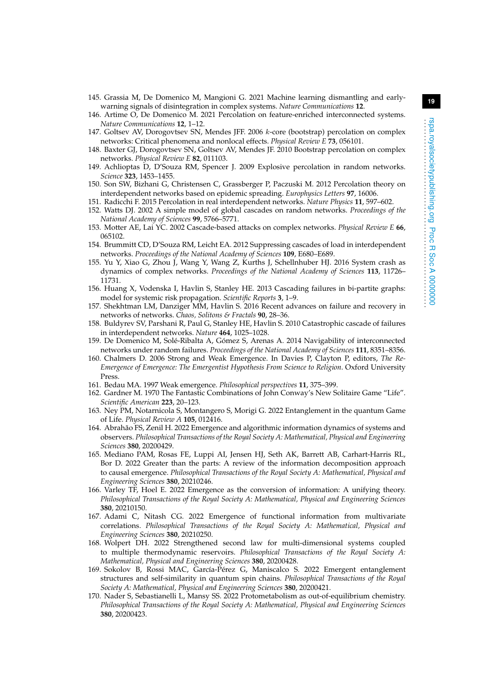- <span id="page-18-1"></span><span id="page-18-0"></span>146. Artime O, De Domenico M. 2021 Percolation on feature-enriched interconnected systems. *Nature Communications* **12**, 1–12.
- <span id="page-18-2"></span>147. Goltsev AV, Dorogovtsev SN, Mendes JFF. 2006 k-core (bootstrap) percolation on complex networks: Critical phenomena and nonlocal effects. *Physical Review E* **73**, 056101.
- 148. Baxter GJ, Dorogovtsev SN, Goltsev AV, Mendes JF. 2010 Bootstrap percolation on complex networks. *Physical Review E* **82**, 011103.
- <span id="page-18-3"></span>149. Achlioptas D, D'Souza RM, Spencer J. 2009 Explosive percolation in random networks. *Science* **323**, 1453–1455.
- <span id="page-18-4"></span>150. Son SW, Bizhani G, Christensen C, Grassberger P, Paczuski M. 2012 Percolation theory on interdependent networks based on epidemic spreading. *Europhysics Letters* **97**, 16006.
- <span id="page-18-5"></span>151. Radicchi F. 2015 Percolation in real interdependent networks. *Nature Physics* **11**, 597–602.
- <span id="page-18-6"></span>152. Watts DJ. 2002 A simple model of global cascades on random networks. *Proceedings of the National Academy of Sciences* **99**, 5766–5771.
- 153. Motter AE, Lai YC. 2002 Cascade-based attacks on complex networks. *Physical Review E* **66**, 065102.
- 154. Brummitt CD, D'Souza RM, Leicht EA. 2012 Suppressing cascades of load in interdependent networks. *Proceedings of the National Academy of Sciences* **109**, E680–E689.
- 155. Yu Y, Xiao G, Zhou J, Wang Y, Wang Z, Kurths J, Schellnhuber HJ. 2016 System crash as dynamics of complex networks. *Proceedings of the National Academy of Sciences* **113**, 11726– 11731.
- 156. Huang X, Vodenska I, Havlin S, Stanley HE. 2013 Cascading failures in bi-partite graphs: model for systemic risk propagation. *Scientific Reports* **3**, 1–9.
- <span id="page-18-7"></span>157. Shekhtman LM, Danziger MM, Havlin S. 2016 Recent advances on failure and recovery in networks of networks. *Chaos, Solitons & Fractals* **90**, 28–36.
- <span id="page-18-8"></span>158. Buldyrev SV, Parshani R, Paul G, Stanley HE, Havlin S. 2010 Catastrophic cascade of failures in interdependent networks. *Nature* **464**, 1025–1028.
- <span id="page-18-9"></span>159. De Domenico M, Solé-Ribalta A, Gómez S, Arenas A. 2014 Navigability of interconnected networks under random failures. *Proceedings of the National Academy of Sciences* **111**, 8351–8356.
- <span id="page-18-10"></span>160. Chalmers D. 2006 Strong and Weak Emergence. In Davies P, Clayton P, editors, *The Re-Emergence of Emergence: The Emergentist Hypothesis From Science to Religion*. Oxford University Press.
- <span id="page-18-11"></span>161. Bedau MA. 1997 Weak emergence. *Philosophical perspectives* **11**, 375–399.
- <span id="page-18-12"></span>162. Gardner M. 1970 The Fantastic Combinations of John Conway's New Solitaire Game "Life". *Scientific American* **223**, 20–123.
- <span id="page-18-13"></span>163. Ney PM, Notarnicola S, Montangero S, Morigi G. 2022 Entanglement in the quantum Game of Life. *Physical Review A* **105**, 012416.
- <span id="page-18-14"></span>164. Abrahão FS, Zenil H. 2022 Emergence and algorithmic information dynamics of systems and observers. *Philosophical Transactions of the Royal Society A: Mathematical, Physical and Engineering Sciences* **380**, 20200429.
- <span id="page-18-15"></span>165. Mediano PAM, Rosas FE, Luppi AI, Jensen HJ, Seth AK, Barrett AB, Carhart-Harris RL, Bor D. 2022 Greater than the parts: A review of the information decomposition approach to causal emergence. *Philosophical Transactions of the Royal Society A: Mathematical, Physical and Engineering Sciences* **380**, 20210246.
- <span id="page-18-16"></span>166. Varley TF, Hoel E. 2022 Emergence as the conversion of information: A unifying theory. *Philosophical Transactions of the Royal Society A: Mathematical, Physical and Engineering Sciences* **380**, 20210150.
- <span id="page-18-17"></span>167. Adami C, Nitash CG. 2022 Emergence of functional information from multivariate correlations. *Philosophical Transactions of the Royal Society A: Mathematical, Physical and Engineering Sciences* **380**, 20210250.
- <span id="page-18-18"></span>168. Wolpert DH. 2022 Strengthened second law for multi-dimensional systems coupled to multiple thermodynamic reservoirs. *Philosophical Transactions of the Royal Society A: Mathematical, Physical and Engineering Sciences* **380**, 20200428.
- <span id="page-18-19"></span>169. Sokolov B, Rossi MAC, García-Pérez G, Maniscalco S. 2022 Emergent entanglement structures and self-similarity in quantum spin chains. *Philosophical Transactions of the Royal Society A: Mathematical, Physical and Engineering Sciences* **380**, 20200421.
- <span id="page-18-20"></span>170. Nader S, Sebastianelli L, Mansy SS. 2022 Protometabolism as out-of-equilibrium chemistry. *Philosophical Transactions of the Royal Society A: Mathematical, Physical and Engineering Sciences* **380**, 20200423.